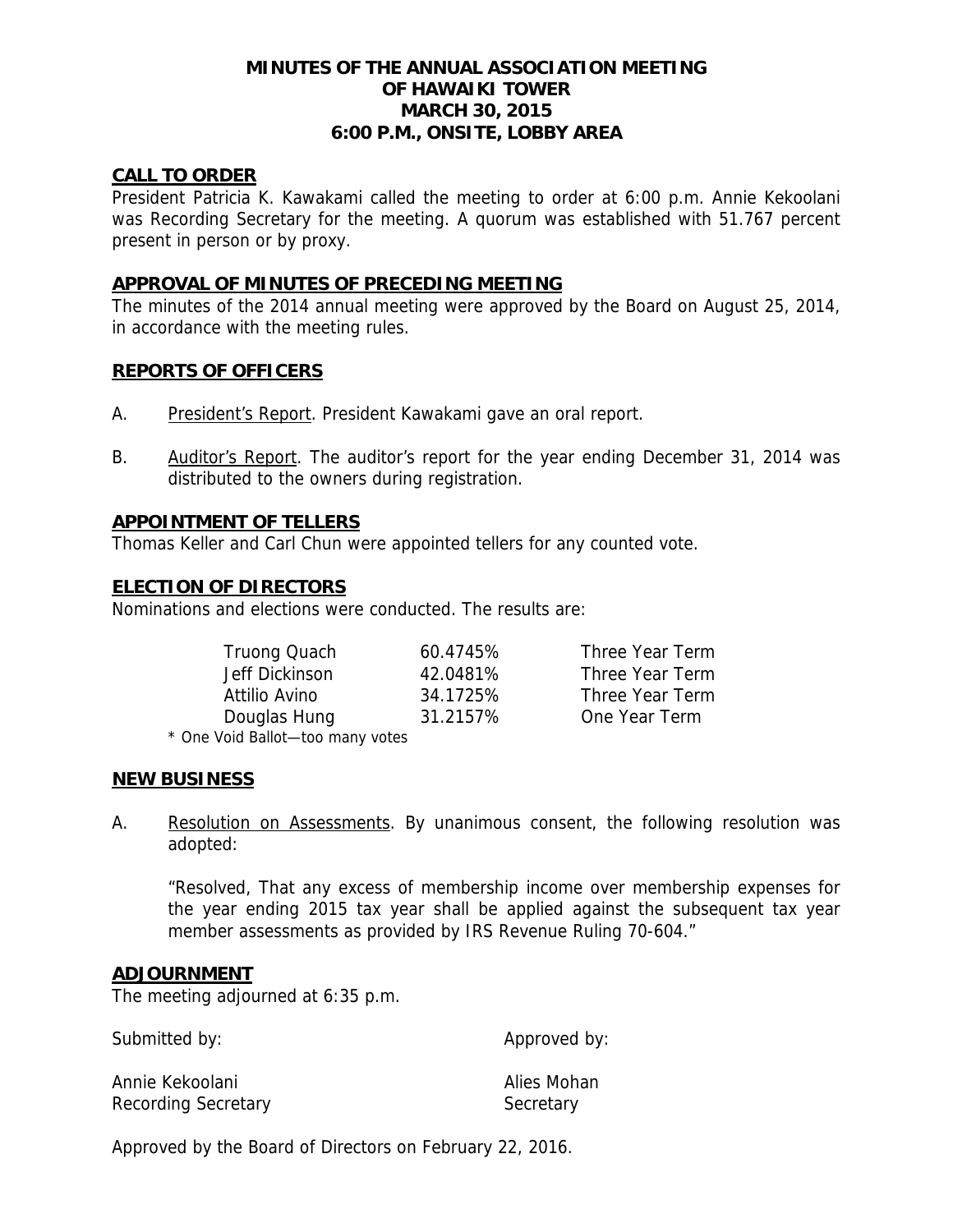# **MINUTES OF THE ANNUAL ASSOCIATION MEETING OF HAWAIKI TOWER MARCH 30, 2015 6:00 P.M., ONSITE, LOBBY AREA**

## **CALL TO ORDER**

President Patricia K. Kawakami called the meeting to order at 6:00 p.m. Annie Kekoolani was Recording Secretary for the meeting. A quorum was established with 51.767 percent present in person or by proxy.

## **APPROVAL OF MINUTES OF PRECEDING MEETING**

The minutes of the 2014 annual meeting were approved by the Board on August 25, 2014, in accordance with the meeting rules.

## **REPORTS OF OFFICERS**

- A. President's Report. President Kawakami gave an oral report.
- B. Auditor's Report. The auditor's report for the year ending December 31, 2014 was distributed to the owners during registration.

## **APPOINTMENT OF TELLERS**

Thomas Keller and Carl Chun were appointed tellers for any counted vote.

## **ELECTION OF DIRECTORS**

Nominations and elections were conducted. The results are:

| Truong Quach                           | 60.4745% | Three Year Term |
|----------------------------------------|----------|-----------------|
| Jeff Dickinson                         | 42.0481% | Three Year Term |
| Attilio Avino                          | 34.1725% | Three Year Term |
| Douglas Hung                           | 31.2157% | One Year Term   |
| $\star$ One Veid Rellet tee manufactor |          |                 |

\* One Void Ballot—too many votes

## **NEW BUSINESS**

A. Resolution on Assessments. By unanimous consent, the following resolution was adopted:

 "Resolved, That any excess of membership income over membership expenses for the year ending 2015 tax year shall be applied against the subsequent tax year member assessments as provided by IRS Revenue Ruling 70-604."

#### **ADJOURNMENT**

The meeting adjourned at 6:35 p.m.

| Submitted by:       | Approved by: |
|---------------------|--------------|
| Annie Kekoolani     | Alies Mohan  |
| Recording Secretary | Secretary    |

Approved by the Board of Directors on February 22, 2016.